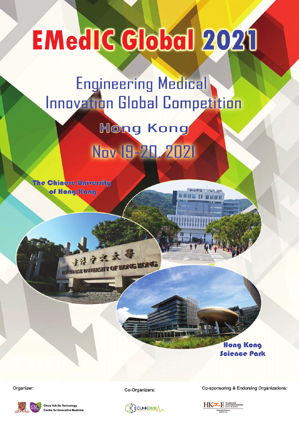# **EMedIC Global 2021**

### **Engineering Medical Innovation Global Competition**

## **Hong Kong** Nov 19-20, 2021

**The Chinere Univervity** of Hong Kong

> **Hong Kong Science Park**

Organizer:



**Yuk Ho Technology** entre for Innovative Medi Co-Organizers:



Co-sponsoring & Endorsing Organizations:

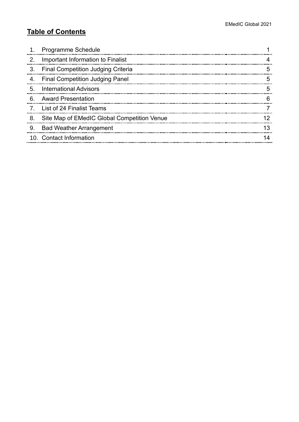#### **Table of Contents**

|    | <b>Programme Schedule</b>                   |    |
|----|---------------------------------------------|----|
| 2. | Important Information to Finalist           |    |
| 3. | <b>Final Competition Judging Criteria</b>   |    |
| 4. | <b>Final Competition Judging Panel</b>      |    |
| 5. | <b>International Advisors</b>               |    |
| 6. | <b>Award Presentation</b>                   |    |
|    | List of 24 Finalist Teams                   |    |
| 8. | Site Map of EMedIC Global Competition Venue |    |
| 9. | <b>Bad Weather Arrangement</b>              | 13 |
|    | 10. Contact Information                     |    |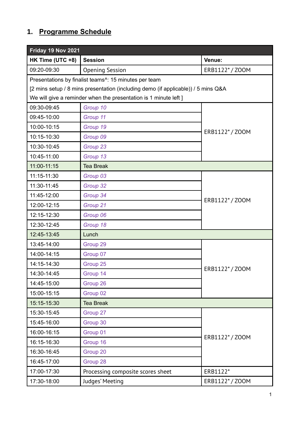#### <span id="page-2-0"></span>**1. Programme Schedule**

| Friday 19 Nov 2021                    |                                                                                   |               |  |
|---------------------------------------|-----------------------------------------------------------------------------------|---------------|--|
| HK Time (UTC +8)                      | <b>Session</b>                                                                    | Venue:        |  |
| 09:20-09:30<br><b>Opening Session</b> |                                                                                   | ERB1122*/Z00M |  |
|                                       | Presentations by finalist teams <sup>^</sup> : 15 minutes per team                |               |  |
|                                       | [2 mins setup / 8 mins presentation (including demo (if applicable)) / 5 mins Q&A |               |  |
|                                       | We will give a reminder when the presentation is 1 minute left ]                  |               |  |
| 09:30-09:45                           | Group 10                                                                          |               |  |
| 09:45-10:00                           | Group 11                                                                          |               |  |
| 10:00-10:15                           | Group 19                                                                          | ERB1122*/ZOOM |  |
| 10:15-10:30                           | Group 09                                                                          |               |  |
| 10:30-10:45                           | Group 23                                                                          |               |  |
| 10:45-11:00                           | Group 13                                                                          |               |  |
| 11:00-11:15                           | <b>Tea Break</b>                                                                  |               |  |
| 11:15-11:30                           | Group 03                                                                          |               |  |
| 11:30-11:45                           | Group 32                                                                          |               |  |
| 11:45-12:00                           | Group 34                                                                          |               |  |
| 12:00-12:15                           | Group 21                                                                          | ERB1122*/ZOOM |  |
| 12:15-12:30                           | Group 06                                                                          |               |  |
| 12:30-12:45                           | Group 18                                                                          |               |  |
| 12:45-13:45                           | Lunch                                                                             |               |  |
| 13:45-14:00                           | Group 29                                                                          |               |  |
| 14:00-14:15                           | Group 07                                                                          |               |  |
| 14:15-14:30                           | Group 25                                                                          |               |  |
| 14:30-14:45                           | Group 14                                                                          | ERB1122*/ZOOM |  |
| 14:45-15:00                           | Group 26                                                                          |               |  |
| 15:00-15:15                           | Group 02                                                                          |               |  |
| 15:15-15:30                           | <b>Tea Break</b>                                                                  |               |  |
| 15:30-15:45                           | Group 27                                                                          |               |  |
| 15:45-16:00                           | Group 30                                                                          |               |  |
| 16:00-16:15                           | Group 01                                                                          |               |  |
| 16:15-16:30                           | Group 16                                                                          | ERB1122*/Z00M |  |
| 16:30-16:45                           | Group 20                                                                          |               |  |
| 16:45-17:00                           | Group 28                                                                          |               |  |
| 17:00-17:30                           | Processing composite scores sheet                                                 | ERB1122*      |  |
| 17:30-18:00                           | Judges' Meeting                                                                   | ERB1122*/Z00M |  |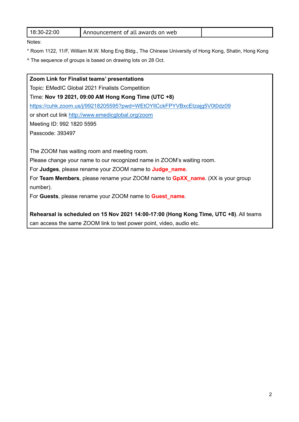| 18:30-22:00 | Announcement of all awards on web |  |
|-------------|-----------------------------------|--|
|-------------|-----------------------------------|--|

Notes:

- \* Room 1122, 11/F, William M.W. Mong Eng Bldg., The Chinese University of Hong Kong, Shatin, Hong Kong
- ^ The sequence of groups is based on drawing lots on 28 Oct.

**Zoom Link for Finalist teams' presentations** Topic: EMedIC Global 2021 Finalists Competition Time: **Nov 19 2021, 09:00 AM Hong Kong Time (UTC +8)** <https://cuhk.zoom.us/j/99218205595?pwd=WEtOYllCckFPYVBxcEtzajg5V0t0dz09> or short cut link<http://www.emedicglobal.org/zoom> Meeting ID: 992 1820 5595 Passcode: 393497 The ZOOM has waiting room and meeting room. Please change your name to our recognized name in ZOOM's waiting room. For **Judges**, please rename your ZOOM name to **Judge\_name**. For **Team Members**, please rename your ZOOM name to **GpXX\_name**. (XX is your group number). For **Guests**, please rename your ZOOM name to **Guest\_name**.

**Rehearsal is scheduled on 15 Nov 2021 14:00-17:00 (Hong Kong Time, UTC +8)**. All teams can access the same ZOOM link to test power point, video, audio etc.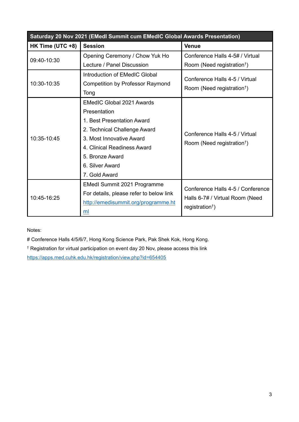| Saturday 20 Nov 2021 (EMedl Summit cum EMedIC Global Awards Presentation)                                                                                                                                                                       |                                                                                                                            |                                                                                                                    |  |  |
|-------------------------------------------------------------------------------------------------------------------------------------------------------------------------------------------------------------------------------------------------|----------------------------------------------------------------------------------------------------------------------------|--------------------------------------------------------------------------------------------------------------------|--|--|
| HK Time (UTC +8)<br><b>Session</b>                                                                                                                                                                                                              |                                                                                                                            | <b>Venue</b>                                                                                                       |  |  |
| 09:40-10:30                                                                                                                                                                                                                                     | Opening Ceremony / Chow Yuk Ho                                                                                             | Conference Halls 4-5# / Virtual                                                                                    |  |  |
| Lecture / Panel Discussion<br>Introduction of EMedIC Global<br>10:30-10:35<br><b>Competition by Professor Raymond</b><br>Tong                                                                                                                   |                                                                                                                            | Room (Need registration <sup>†</sup> )<br>Conference Halls 4-5 / Virtual<br>Room (Need registration <sup>†</sup> ) |  |  |
| <b>EMedIC Global 2021 Awards</b><br>Presentation<br>1. Best Presentation Award<br>2. Technical Challenge Award<br>10:35-10:45<br>3. Most Innovative Award<br>4. Clinical Readiness Award<br>5. Bronze Award<br>6. Silver Award<br>7. Gold Award |                                                                                                                            | Conference Halls 4-5 / Virtual<br>Room (Need registration <sup>†</sup> )                                           |  |  |
| 10:45-16:25                                                                                                                                                                                                                                     | <b>EMedI Summit 2021 Programme</b><br>For details, please refer to below link<br>http://emedisummit.org/programme.ht<br>ml | Conference Halls 4-5 / Conference<br>Halls 6-7# / Virtual Room (Need<br>registration <sup>†</sup> )                |  |  |

Notes:

# Conference Halls 4/5/6/7, Hong Kong Science Park, Pak Shek Kok, Hong Kong.

† Registration for virtual participation on event day 20 Nov, please access this link [https://www.emedisummit2021.hk/](https://apps.med.cuhk.edu.hk/registration/view.php?id=654405)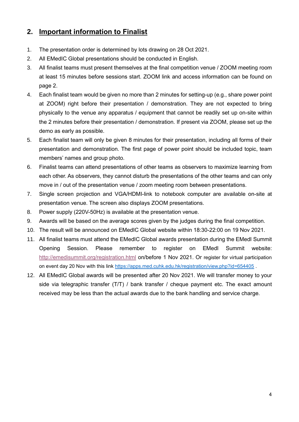#### <span id="page-5-0"></span>**2. Important information to Finalist**

- 1. The presentation order is determined by lots drawing on 28 Oct 2021.
- 2. All EMedIC Global presentations should be conducted in English.
- 3. All finalist teams must present themselves at the final competition venue / ZOOM meeting room at least 15 minutes before sessions start. ZOOM link and access information can be found on page 2.
- 4. Each finalist team would be given no more than 2 minutes for setting-up (e.g., share power point at ZOOM) right before their presentation / demonstration. They are not expected to bring physically to the venue any apparatus / equipment that cannot be readily set up on-site within the 2 minutes before their presentation / demonstration. If present via ZOOM, please set up the demo as early as possible.
- 5. Each finalist team will only be given 8 minutes for their presentation, including all forms of their presentation and demonstration. The first page of power point should be included topic, team members' names and group photo.
- 6. Finalist teams can attend presentations of other teams as observers to maximize learning from each other. As observers, they cannot disturb the presentations of the other teams and can only move in / out of the presentation venue / zoom meeting room between presentations.
- 7. Single screen projection and VGA/HDMI-link to notebook computer are available on-site at presentation venue. The screen also displays ZOOM presentations.
- 8. Power supply (220V-50Hz) is available at the presentation venue.
- 9. Awards will be based on the average scores given by the judges during the final competition.
- 10. The result will be announced on EMedIC Global website within 18:30-22:00 on 19 Nov 2021.
- 11. All finalist teams must attend the EMedIC Global awards presentation during the EMedI Summit Opening Session. Walk-in registration for virtual participation on event day 20 Nov, please use this link [https://www.emedisummit2021.hk/](http://emedisummit.org/registration.html).
- 12. All EMedIC Global awards will [be presented after 20 Nov 2021. We will transfer money](https://apps.med.cuhk.edu.hk/registration/view.php?id=654405) to your side via telegraphic transfer (T/T) / bank transfer / cheque payment etc. The exact amount received may be less than the actual awards due to the bank handling and service charge.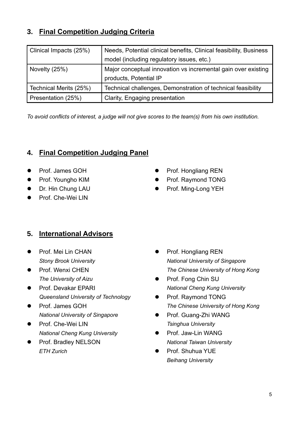#### <span id="page-6-0"></span>**3. Final Competition Judging Criteria**

| <b>Clinical Impacts (25%)</b> | Needs, Potential clinical benefits, Clinical feasibility, Business<br>model (including regulatory issues, etc.) |
|-------------------------------|-----------------------------------------------------------------------------------------------------------------|
| Novelty (25%)                 | Major conceptual innovation vs incremental gain over existing<br>products, Potential IP                         |
| Technical Merits (25%)        | Technical challenges, Demonstration of technical feasibility                                                    |
| Presentation (25%)            | <b>Clarity, Engaging presentation</b>                                                                           |

*To avoid conflicts of interest, a judge will not give scores to the team(s) from his own institution.*

#### <span id="page-6-1"></span>**4. Final Competition Judging Panel**

- Prof. James GOH
- Prof. Youngho KIM
- Dr. Hin Chung LAU
- Prof. Che-Wei LIN

#### <span id="page-6-2"></span>**5. International Advisors**

- Prof. Mei Lin CHAN *Stony Brook University*
- Prof. Wenxi CHEN *The University of Aizu*
- Prof. Devakar EPARI *Queensland University of Technology*
- Prof. James GOH *National University of Singapore*
- Prof. Che-Wei LIN *National Cheng Kung University*
- Prof. Bradley NELSON *ETH Zurich*
- ⚫ Prof. Hongliang REN
- ⚫ Prof. Raymond TONG
- ⚫ Prof. Ming-Long YEH

- ⚫ Prof. Hongliang REN *National University of Singapore The Chinese University of Hong Kong*
- Prof. Fong Chin SU *National Cheng Kung University*
- Prof. Raymond TONG *The Chinese University of Hong Kong*
- Prof. Guang-Zhi WANG *Tsinghua University*
- ⚫ Prof. Jaw-Lin WANG *National Taiwan University*
- ⚫ Prof. Shuhua YUE *Beihang University*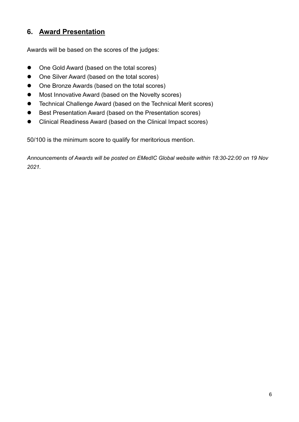#### **6. Award Presentation**

Awards will be based on the scores of the judges:

- One Gold Award (based on the total scores)
- One Silver Award (based on the total scores)
- One Bronze Awards (based on the total scores)
- Most Innovative Award (based on the Novelty scores)
- Technical Challenge Award (based on the Technical Merit scores)
- Best Presentation Award (based on the Presentation scores)
- Clinical Readiness Award (based on the Clinical Impact scores)

50/100 is the minimum score to qualify for meritorious mention.

*Announcements of Awards will be posted on EMedIC Global website within 18:30-22:00 on 19 Nov 2021.*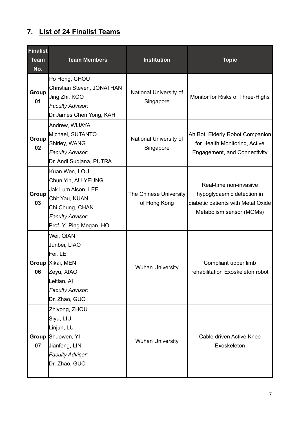#### <span id="page-8-0"></span>**7. List of 24 Finalist Teams**

| <b>Finalist</b><br><b>Team</b><br>No. | <b>Team Members</b>                                                                                                                                         | Institution                            | <b>Topic</b>                                                                                                           |
|---------------------------------------|-------------------------------------------------------------------------------------------------------------------------------------------------------------|----------------------------------------|------------------------------------------------------------------------------------------------------------------------|
| Group<br>01                           | Po Hong, CHOU<br>Christian Steven, JONATHAN<br>Jing Zhi, KOO<br><b>Faculty Advisor:</b><br>Dr James Chen Yong, KAH                                          | National University of<br>Singapore    | Monitor for Risks of Three-Highs                                                                                       |
| Group<br>02                           | Andrew, WIJAYA<br>Michael, SUTANTO<br>Shirley, WANG<br><b>Faculty Advisor:</b><br>Dr. Andi Sudjana, PUTRA                                                   | National University of<br>Singapore    | Ah Bot: Elderly Robot Companion<br>for Health Monitoring, Active<br><b>Engagement, and Connectivity</b>                |
| Group<br>03                           | Kuan Wen, LOU<br>Chun Yin, AU-YEUNG<br><b>Jak Lum Alson, LEE</b><br>Chit Yau, KUAN<br>Chi Chung, CHAN<br><b>Faculty Advisor:</b><br>Prof. Yi-Ping Megan, HO | The Chinese University<br>of Hong Kong | Real-time non-invasive<br>hypoglycaemic detection in<br>diabetic patients with Metal Oxide<br>Metabolism sensor (MOMs) |
| 06                                    | Wei, QIAN<br>Junbei, LIAO<br>Fei, LEI<br>Group Xikai, MEN<br>Zeyu, XIAO<br>Leitian, Al<br><b>Faculty Advisor:</b><br>Dr. Zhao, GUO                          | <b>Wuhan University</b>                | Compliant upper limb<br>rehabilitation Exoskeleton robot                                                               |
| Group<br>07                           | Zhiyong, ZHOU<br>Siyu, LIU<br>Linjun, LU<br>Shuowen, Yl<br>Jianfeng, LIN<br><b>Faculty Advisor:</b><br>Dr. Zhao, GUO                                        | <b>Wuhan University</b>                | Cable driven Active Knee<br>Exoskeleton                                                                                |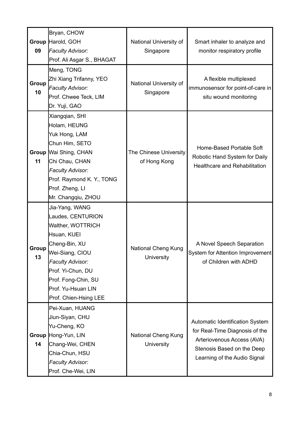| 09          | Bryan, CHOW<br>Group Harold, GOH<br><b>Faculty Advisor:</b><br>Prof. Ali Asgar S., BHAGAT<br>Meng, TONG                                                                                                                           | National University of<br>Singapore      | Smart inhaler to analyze and<br>monitor respiratory profile                                                                                                   |
|-------------|-----------------------------------------------------------------------------------------------------------------------------------------------------------------------------------------------------------------------------------|------------------------------------------|---------------------------------------------------------------------------------------------------------------------------------------------------------------|
| Group<br>10 | Zhi Xiang Trifanny, YEO<br><b>Faculty Advisor:</b><br>Prof. Chwee Teck, LIM<br>Dr. Yuji, GAO                                                                                                                                      | National University of<br>Singapore      | A flexible multiplexed<br>immunosensor for point-of-care in<br>situ wound monitoring                                                                          |
| 11          | Xiangqian, SHI<br>Holam, HEUNG<br>Yuk Hong, LAM<br>Chun Him, SETO<br>Group   Wai Shing, CHAN<br>Chi Chau, CHAN<br><b>Faculty Advisor:</b><br>Prof. Raymond K. Y., TONG<br>Prof. Zheng, Ll<br>Mr. Changqiu, ZHOU                   | The Chinese University<br>of Hong Kong   | Home-Based Portable Soft<br>Robotic Hand System for Daily<br><b>Healthcare and Rehabilitation</b>                                                             |
| Group<br>13 | Jia-Yang, WANG<br>Laudes, CENTURION<br>Walther, WOTTRICH<br>Hsuan, KUEI<br>Cheng-Bin, XU<br>Wei-Siang, CIOU<br><b>Faculty Advisor:</b><br>Prof. Yi-Chun, DU<br>Prof. Fong-Chin, SU<br>Prof. Yu-Hsuan LIN<br>Prof. Chien-Hsing LEE | <b>National Cheng Kung</b><br>University | A Novel Speech Separation<br>System for Attention Improvement<br>of Children with ADHD                                                                        |
| 14          | Pei-Xuan, HUANG<br>Jiun-Siyan, CHU<br>Yu-Cheng, KO<br>Group Hong-Yun, LIN<br>Chang-Wei, CHEN<br>Chia-Chun, HSU<br><b>Faculty Advisor:</b><br>Prof. Che-Wei, LIN                                                                   | <b>National Cheng Kung</b><br>University | Automatic Identification System<br>for Real-Time Diagnosis of the<br>Arteriovenous Access (AVA)<br>Stenosis Based on the Deep<br>Learning of the Audio Signal |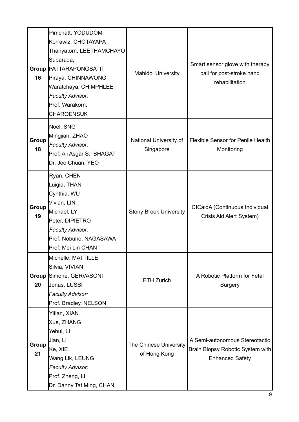| 16          | Pimchatt, YODUDOM<br>Korrawiz, CHOTAYAPA<br>Thanyatorn, LEETHAMCHAYO<br>Suparada,<br><b>Group PATTARAPONGSATIT</b><br>Piraya, CHINNAWONG<br>Waratchaya, CHIMPHLEE<br><b>Faculty Advisor:</b><br>Prof. Warakorn,<br><b>CHAROENSUK</b> | <b>Mahidol University</b>              | Smart sensor glove with therapy<br>ball for post-stroke hand<br>rehabilitation               |
|-------------|--------------------------------------------------------------------------------------------------------------------------------------------------------------------------------------------------------------------------------------|----------------------------------------|----------------------------------------------------------------------------------------------|
| Group<br>18 | Noel, SNG<br>Mingjian, ZHAO<br><b>Faculty Advisor:</b><br>Prof. Ali Asgar S., BHAGAT<br>Dr. Joo Chuan, YEO                                                                                                                           | National University of<br>Singapore    | <b>Flexible Sensor for Penile Health</b><br>Monitoring                                       |
| Group<br>19 | Ryan, CHEN<br>Luigia, THAN<br>Cynthia, WU<br>Vivian, LIN<br>Michael, LY<br>Peter, DIPIETRO<br><b>Faculty Advisor:</b><br>Prof. Nobuho, NAGASAWA<br>Prof. Mei Lin CHAN                                                                | <b>Stony Brook University</b>          | CICaidA (Continuous Individual<br>Crisis Aid Alert System)                                   |
| 20          | Michelle, MATTILLE<br>Silvia, VIVIANI<br>Group Simone, GERVASONI<br>Jonas, LUSSI<br><b>Faculty Advisor:</b><br>Prof. Bradley, NELSON                                                                                                 | <b>ETH Zurich</b>                      | A Robotic Platform for Fetal<br>Surgery                                                      |
| Group<br>21 | Yitian, XIAN<br>Xue, ZHANG<br>Yehui, Ll<br>Jian, LI<br>Ke, XIE<br>Wang Lik, LEUNG<br><b>Faculty Advisor:</b><br>Prof. Zheng, Ll<br>Dr. Danny Tat Ming, CHAN                                                                          | The Chinese University<br>of Hong Kong | A Semi-autonomous Stereotactic<br>Brain Biopsy Robotic System with<br><b>Enhanced Safety</b> |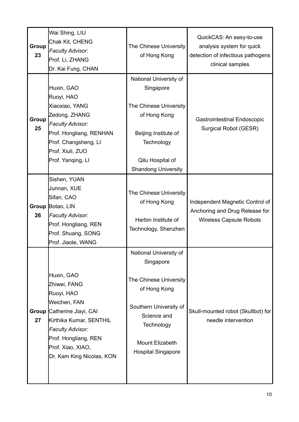| Group<br>23        | Wai Shing, LIU<br>Chak Kit, CHENG<br><b>Faculty Advisor:</b><br>Prof. Li, ZHANG<br>Dr. Kai Fung, CHAN                                                                                                            | The Chinese University<br>of Hong Kong                                                                                                                                                      | QuickCAS: An easy-to-use<br>analysis system for quick<br>detection of infectious pathogens<br>clinical samples |
|--------------------|------------------------------------------------------------------------------------------------------------------------------------------------------------------------------------------------------------------|---------------------------------------------------------------------------------------------------------------------------------------------------------------------------------------------|----------------------------------------------------------------------------------------------------------------|
| Group<br>25        | Huxin, GAO<br>Ruoyi, HAO<br>Xiaoxiao, YANG<br>Zedong, ZHANG<br><b>Faculty Advisor:</b><br>Prof. Hongliang, RENHAN<br>Prof. Changsheng, LI<br>Prof. Xiuli, ZUO<br>Prof. Yanging, LI                               | National University of<br>Singapore<br>The Chinese University<br>of Hong Kong<br>Beijing Institute of<br>Technology<br>Qilu Hospital of<br><b>Shandong University</b>                       | <b>Gastrointestinal Endoscopic</b><br>Surgical Robot (GESR)                                                    |
| 26                 | Sishen, YUAN<br>Junnan, XUE<br>Sifan, CAO<br>Group Botao, LIN<br><b>Faculty Advisor:</b><br>Prof. Hongliang, REN<br>Prof. Shuang, SONG<br>Prof. Jiaole, WANG                                                     | The Chinese University<br>of Hong Kong<br>Harbin Institute of<br>Technology, Shenzhen                                                                                                       | Independent Magnetic Control of<br>Anchoring and Drug Release for<br><b>Wireless Capsule Robots</b>            |
| <b>Group</b><br>27 | Huxin, GAO<br>Zhiwei, FANG<br>Ruoyi, HAO<br>Weichen, FAN<br>Catherine Jiayi, CAI<br>Kirthika Kumar, SENTHIL<br><b>Faculty Advisor:</b><br>Prof. Hongliang, REN<br>Prof. Xiao, XIAO,<br>Dr. Kam King Nicolas, KON | National University of<br>Singapore<br>The Chinese University<br>of Hong Kong<br>Southern University of<br>Science and<br>Technology<br><b>Mount Elizabeth</b><br><b>Hospital Singapore</b> | Skull-mounted robot (Skullbot) for<br>needle intervention                                                      |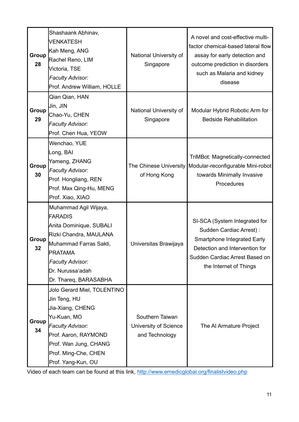| Group<br>28 | Shashaank Abhinav,<br><b>VENKATESH</b><br>Kah Meng, ANG<br>Rachel Reno, LIM<br>Victoria, TSE<br><b>Faculty Advisor:</b><br>Prof. Andrew William, HOLLE                                                           | National University of<br>Singapore                        | A novel and cost-effective multi-<br>factor chemical-based lateral flow<br>assay for early detection and<br>outcome prediction in disorders<br>such as Malaria and kidney<br>disease          |
|-------------|------------------------------------------------------------------------------------------------------------------------------------------------------------------------------------------------------------------|------------------------------------------------------------|-----------------------------------------------------------------------------------------------------------------------------------------------------------------------------------------------|
| Group<br>29 | Qian Qian, HAN<br>Jin, JIN<br>Chao-Yu, CHEN<br><b>Faculty Advisor:</b><br>Prof. Chen Hua, YEOW                                                                                                                   | National University of<br>Singapore                        | Modular Hybrid Robotic Arm for<br><b>Bedside Rehabilitation</b>                                                                                                                               |
| Group<br>30 | Wenchao, YUE<br>Long, BAI<br>Yameng, ZHANG<br><b>Faculty Advisor:</b><br>Prof. Hongliang, REN<br>Prof. Max Qing-Hu, MENG<br>Prof. Xiao, XIAO                                                                     | of Hong Kong                                               | <b>TriMBot: Magnetically-connected</b><br>The Chinese University   Modular-reconfigurable Mini-robot<br>towards Minimally Invasive<br>Procedures                                              |
| Group<br>32 | Muhammad Agil Wijaya,<br><b>FARADIS</b><br>Anita Dominique, SUBALI<br>Rizki Chandra, MAULANA<br>Muhammad Farras Sakti,<br><b>PRATAMA</b><br><b>Faculty Advisor:</b><br>Dr. Nurussa'adah<br>Dr. Thareq, BARASABHA | Universitas Brawijaya                                      | SI-SCA (System Integrated for<br>Sudden Cardiac Arrest) :<br><b>Smartphone Integrated Early</b><br>Detection and Intervention for<br>Sudden Cardiac Arrest Based on<br>the Internet of Things |
| Group<br>34 | Jolo Gerard Miel, TOLENTINO<br>Jin Teng, HU<br>Jia-Xiang, CHENG<br>Yu-Kuan, MO<br><b>Faculty Advisor:</b><br>Prof. Aaron, RAYMOND<br>Prof. Wan Jung, CHANG<br>Prof. Ming-Che, CHEN<br>Prof. Yang-Kun, OU         | Southern Taiwan<br>University of Science<br>and Technology | The AI Armature Project                                                                                                                                                                       |

Video of each team can be found at this link,<http://www.emedicglobal.org/finalistvideo.php>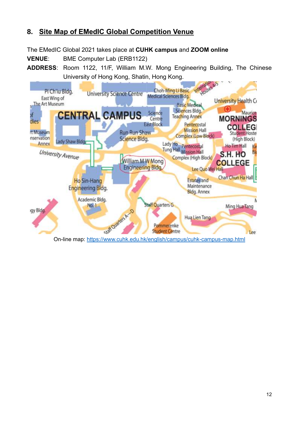#### **8. Site Map of EMedIC Global Competition Venue**

The EMedIC Global 2021 takes place at **CUHK campus** and **ZOOM online**

**VENUE**: BME Computer Lab (ERB1122)

**ADDRESS**: Room 1122, 11/F, William M.W. Mong Engineering Building, The Chinese University of Hong Kong, Shatin, Hong Kong.

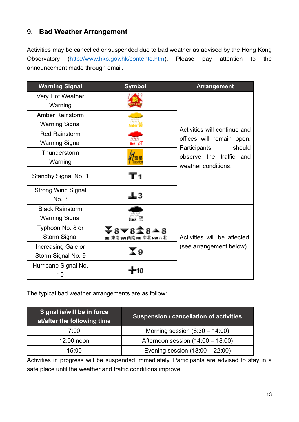#### <span id="page-14-0"></span>**9. Bad Weather Arrangement**

Activities may be cancelled or suspended due to bad weather as advised by the Hong Kong Observatory [\(http://www.hko.gov.hk/contente.htm\)](http://www.hko.gov.hk/contente.htm). Please pay attention to the announcement made through email.

| <b>Warning Signal</b>     | <b>Symbol</b>           | <b>Arrangement</b>                         |
|---------------------------|-------------------------|--------------------------------------------|
| Very Hot Weather          |                         |                                            |
| Warning                   |                         |                                            |
| <b>Amber Rainstorm</b>    |                         |                                            |
| <b>Warning Signal</b>     |                         |                                            |
| <b>Red Rainstorm</b>      |                         | Activities will continue and               |
| <b>Warning Signal</b>     | ted 流⊥                  | offices will remain open.<br>should        |
| Thunderstorm              |                         | Participants<br>observe the traffic<br>and |
| Warning                   |                         | weather conditions.                        |
| Standby Signal No. 1      | Г1                      |                                            |
| <b>Strong Wind Signal</b> |                         |                                            |
| No. 3                     | ⊥3                      |                                            |
| <b>Black Rainstorm</b>    |                         |                                            |
| <b>Warning Signal</b>     |                         |                                            |
| Typhoon No. 8 or          |                         |                                            |
| <b>Storm Signal</b>       | SE 東南 SW 西南 NE 東北 NW 西北 | Activities will be affected.               |
| Increasing Gale or        |                         | (see arrangement below)                    |
| Storm Signal No. 9        | ( ດ                     |                                            |
| Hurricane Signal No.      |                         |                                            |
| 10                        |                         |                                            |

The typical bad weather arrangements are as follow:

| Signal is/will be in force<br>at/after the following time | <b>Suspension / cancellation of activities</b> |
|-----------------------------------------------------------|------------------------------------------------|
| 7:00                                                      | Morning session $(8:30 - 14:00)$               |
| $12:00$ noon                                              | Afternoon session $(14:00 - 18:00)$            |
| 15:00                                                     | Evening session $(18:00 - 22:00)$              |

<span id="page-14-1"></span>Activities in progress will be suspended immediately. Participants are advised to stay in a safe place until the weather and traffic conditions improve.